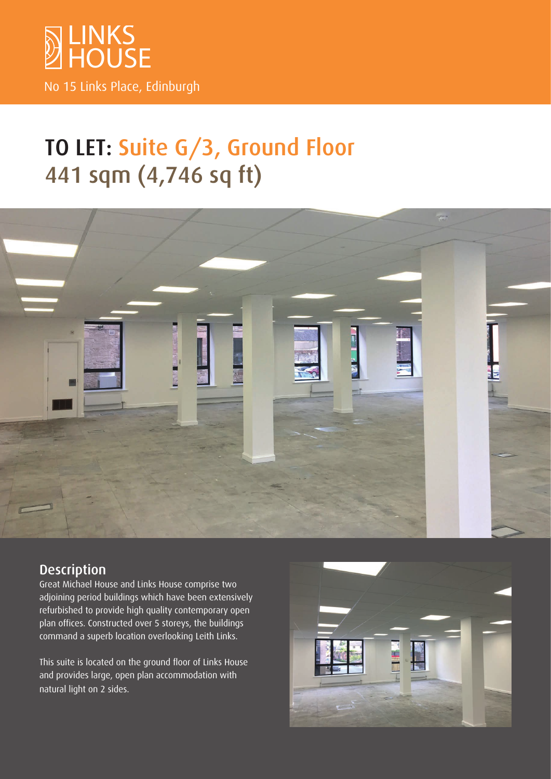

# TO LET: Suite G/3, Ground Floor 441 sqm (4,746 sq ft)



# **Description**

Great Michael House and Links House comprise two adjoining period buildings which have been extensively refurbished to provide high quality contemporary open plan offices. Constructed over 5 storeys, the buildings command a superb location overlooking Leith Links.

This suite is located on the ground floor of Links House and provides large, open plan accommodation with natural light on 2 sides.